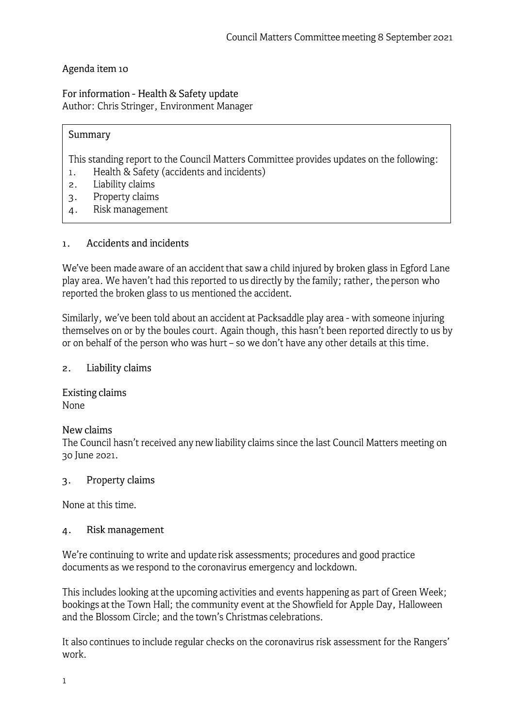# Agenda item 10

For information - Health & Safety update Author: Chris Stringer, Environment Manager

## Summary

This standing report to the Council Matters Committee provides updates on the following:

- 1. Health & Safety (accidents and incidents)
- 2. Liability claims
- 3. Property claims
- 4. Risk management

### 1. Accidents and incidents

We've been made aware of an accident that saw a child injured by broken glass in Egford Lane play area. We haven't had this reported to us directly by the family; rather, the person who reported the broken glass to us mentioned the accident.

Similarly, we've been told about an accident at Packsaddle play area - with someone injuring themselves on or by the boules court. Again though, this hasn't been reported directly to us by or on behalf of the person who was hurt - so we don't have any other details at this time.

2. Liability claims

Existing claims None

### **New claims**

The Council hasn't received any new liability claims since the last Council Matters meeting on 30 June 2021.

### 3. Property claims

None at this time.

### 4. Risk management

We're continuing to write and update risk assessments; procedures and good practice documents as we respond to the coronavirus emergency and lockdown.

This includes looking at the upcoming activities and events happening as part of Green Week; bookings at the Town Hall; the community event at the Showfield for Apple Day, Halloween and the Blossom Circle; and the town's Christmas celebrations.

It also continues to include regular checks on the coronavirus risk assessment for the Rangers' work.